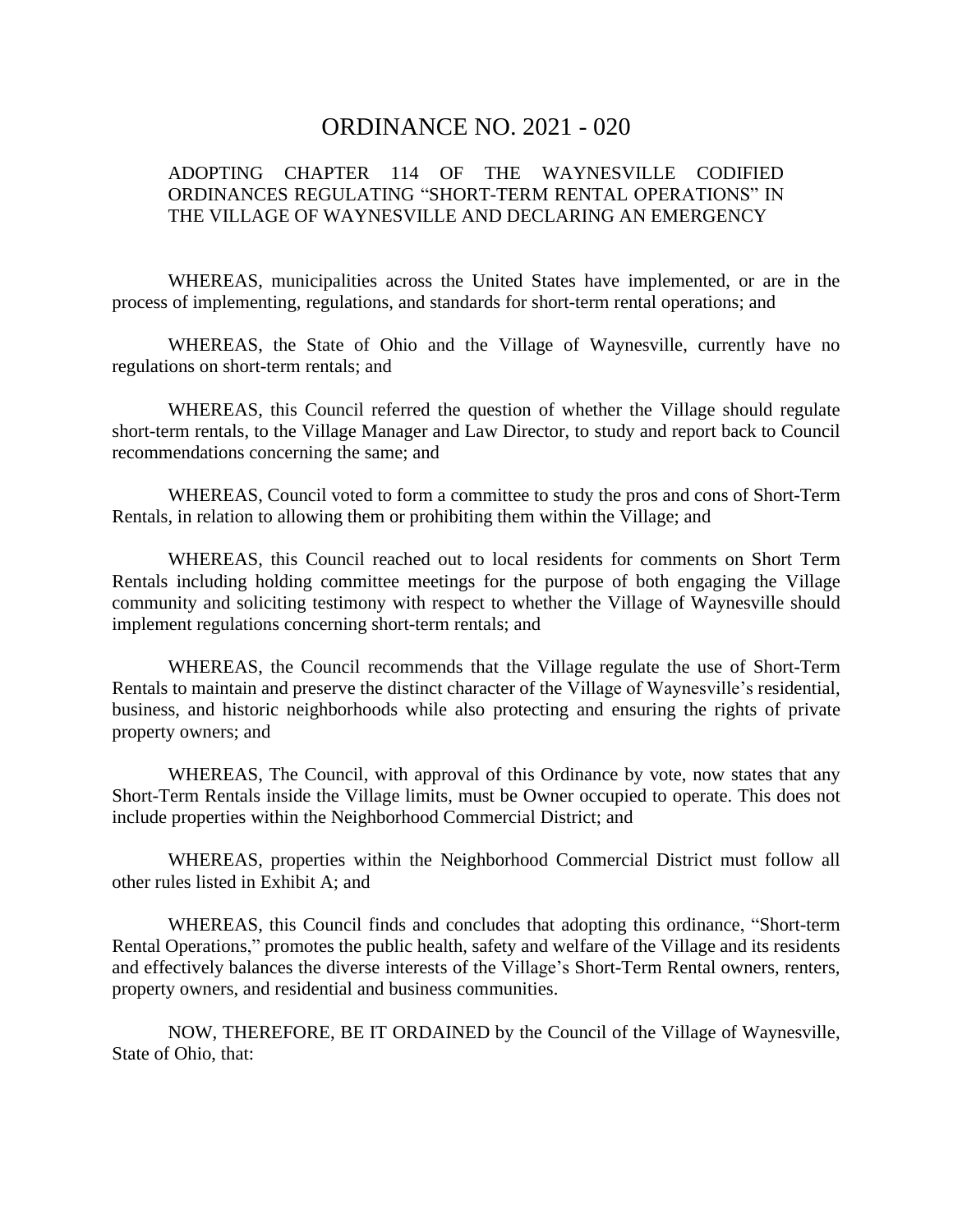# ORDINANCE NO. 2021 - 020

# ADOPTING CHAPTER 114 OF THE WAYNESVILLE CODIFIED ORDINANCES REGULATING "SHORT-TERM RENTAL OPERATIONS" IN THE VILLAGE OF WAYNESVILLE AND DECLARING AN EMERGENCY

WHEREAS, municipalities across the United States have implemented, or are in the process of implementing, regulations, and standards for short-term rental operations; and

WHEREAS, the State of Ohio and the Village of Waynesville, currently have no regulations on short-term rentals; and

WHEREAS, this Council referred the question of whether the Village should regulate short-term rentals, to the Village Manager and Law Director, to study and report back to Council recommendations concerning the same; and

WHEREAS, Council voted to form a committee to study the pros and cons of Short-Term Rentals, in relation to allowing them or prohibiting them within the Village; and

WHEREAS, this Council reached out to local residents for comments on Short Term Rentals including holding committee meetings for the purpose of both engaging the Village community and soliciting testimony with respect to whether the Village of Waynesville should implement regulations concerning short-term rentals; and

WHEREAS, the Council recommends that the Village regulate the use of Short-Term Rentals to maintain and preserve the distinct character of the Village of Waynesville's residential, business, and historic neighborhoods while also protecting and ensuring the rights of private property owners; and

WHEREAS, The Council, with approval of this Ordinance by vote, now states that any Short-Term Rentals inside the Village limits, must be Owner occupied to operate. This does not include properties within the Neighborhood Commercial District; and

WHEREAS, properties within the Neighborhood Commercial District must follow all other rules listed in Exhibit A; and

WHEREAS, this Council finds and concludes that adopting this ordinance, "Short-term Rental Operations," promotes the public health, safety and welfare of the Village and its residents and effectively balances the diverse interests of the Village's Short-Term Rental owners, renters, property owners, and residential and business communities.

NOW, THEREFORE, BE IT ORDAINED by the Council of the Village of Waynesville, State of Ohio, that: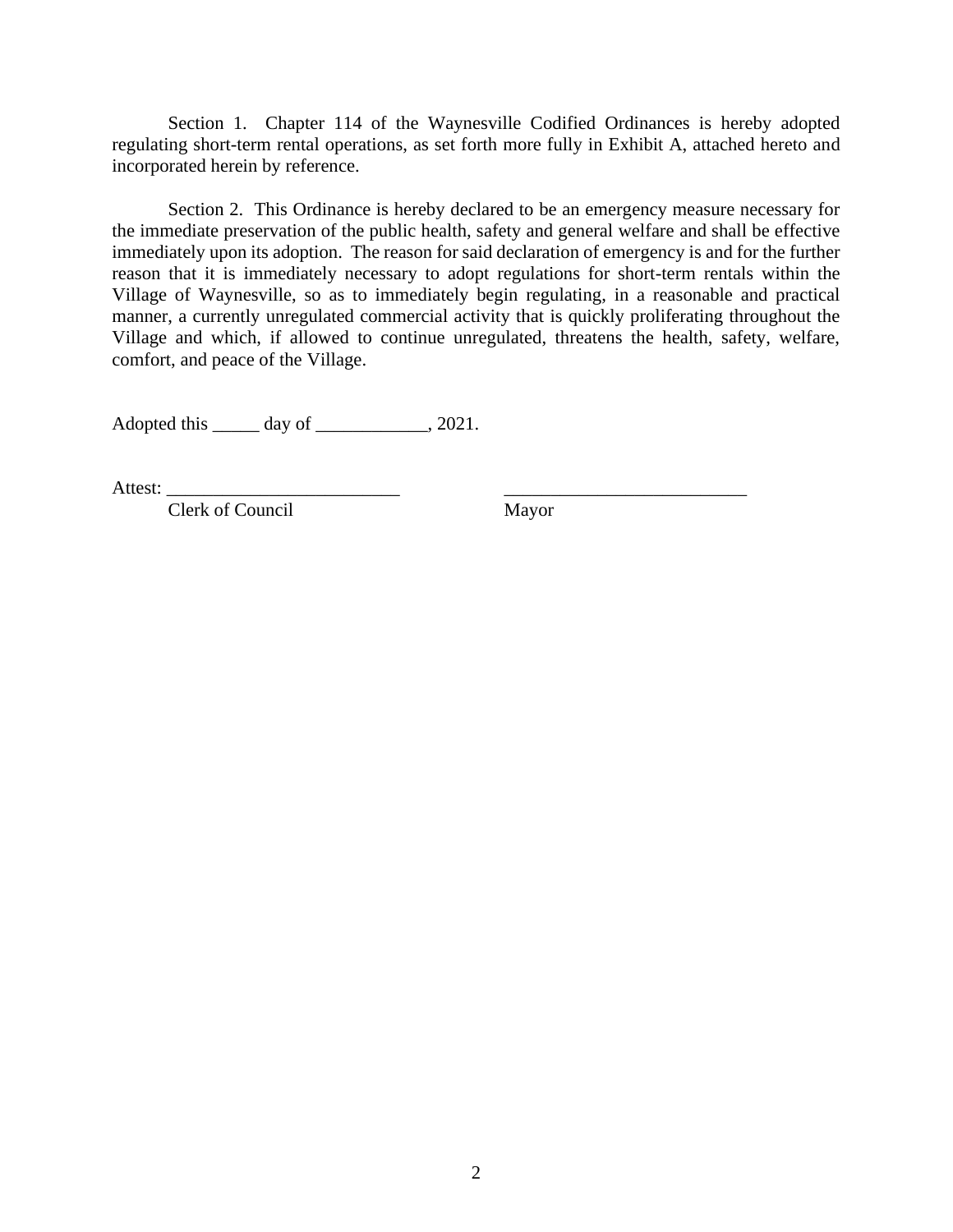Section 1. Chapter 114 of the Waynesville Codified Ordinances is hereby adopted regulating short-term rental operations, as set forth more fully in Exhibit A, attached hereto and incorporated herein by reference.

Section 2. This Ordinance is hereby declared to be an emergency measure necessary for the immediate preservation of the public health, safety and general welfare and shall be effective immediately upon its adoption. The reason for said declaration of emergency is and for the further reason that it is immediately necessary to adopt regulations for short-term rentals within the Village of Waynesville, so as to immediately begin regulating, in a reasonable and practical manner, a currently unregulated commercial activity that is quickly proliferating throughout the Village and which, if allowed to continue unregulated, threatens the health, safety, welfare, comfort, and peace of the Village.

Adopted this \_\_\_\_\_ day of \_\_\_\_\_\_\_\_\_\_\_\_, 2021.

Attest: \_\_\_\_\_\_\_\_\_\_\_\_\_\_\_\_\_\_\_\_\_\_\_\_\_ \_\_\_\_\_\_\_\_\_\_\_\_\_\_\_\_\_\_\_\_\_\_\_\_\_\_

Clerk of Council Mayor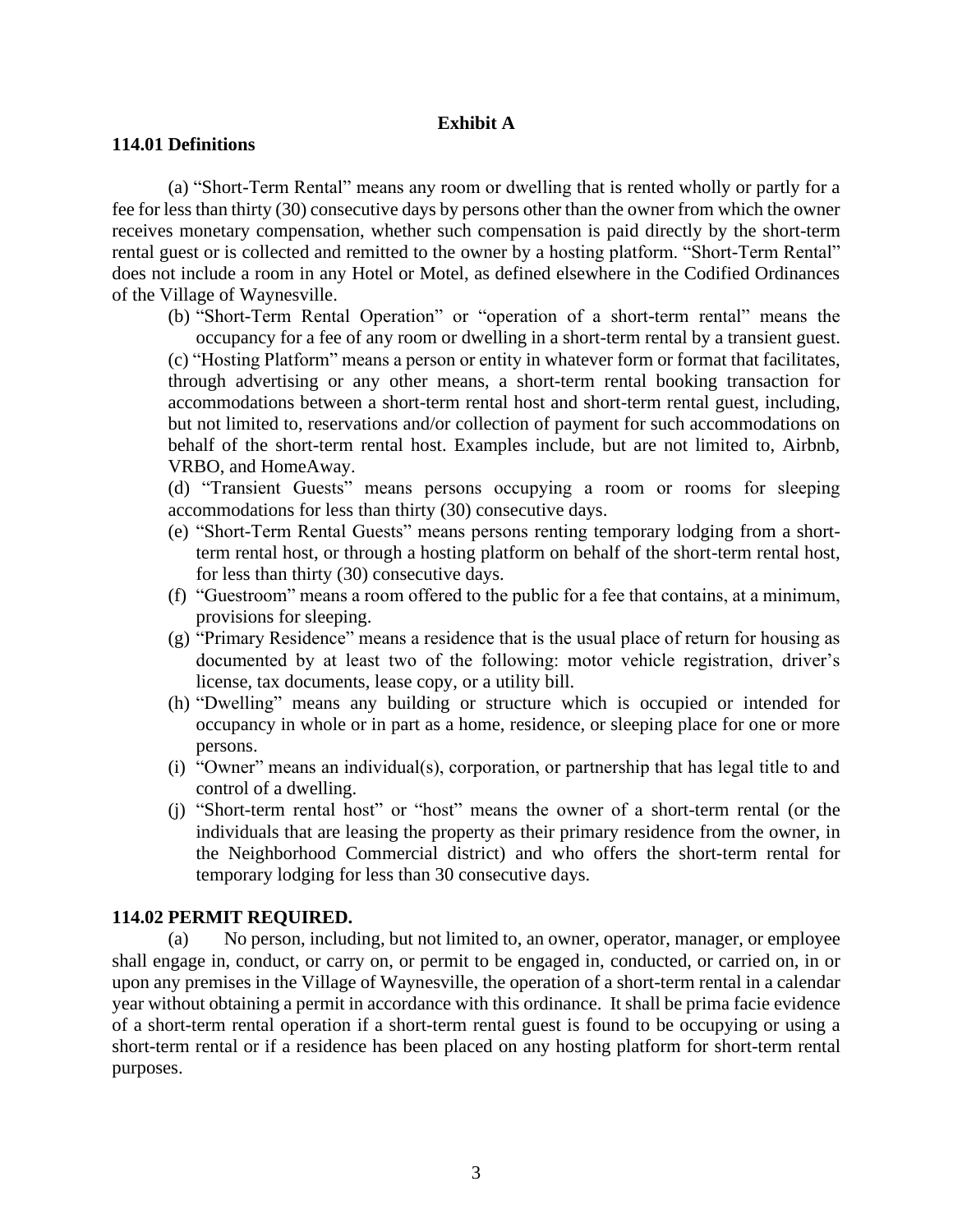## **Exhibit A**

### **114.01 Definitions**

(a) "Short-Term Rental" means any room or dwelling that is rented wholly or partly for a fee for less than thirty (30) consecutive days by persons other than the owner from which the owner receives monetary compensation, whether such compensation is paid directly by the short-term rental guest or is collected and remitted to the owner by a hosting platform. "Short-Term Rental" does not include a room in any Hotel or Motel, as defined elsewhere in the Codified Ordinances of the Village of Waynesville.

(b) "Short-Term Rental Operation" or "operation of a short-term rental" means the occupancy for a fee of any room or dwelling in a short-term rental by a transient guest. (c) "Hosting Platform" means a person or entity in whatever form or format that facilitates, through advertising or any other means, a short-term rental booking transaction for accommodations between a short-term rental host and short-term rental guest, including, but not limited to, reservations and/or collection of payment for such accommodations on behalf of the short-term rental host. Examples include, but are not limited to, Airbnb,

VRBO, and HomeAway.

(d) "Transient Guests" means persons occupying a room or rooms for sleeping accommodations for less than thirty (30) consecutive days.

- (e) "Short-Term Rental Guests" means persons renting temporary lodging from a shortterm rental host, or through a hosting platform on behalf of the short-term rental host, for less than thirty (30) consecutive days.
- (f) "Guestroom" means a room offered to the public for a fee that contains, at a minimum, provisions for sleeping.
- (g) "Primary Residence" means a residence that is the usual place of return for housing as documented by at least two of the following: motor vehicle registration, driver's license, tax documents, lease copy, or a utility bill.
- (h) "Dwelling" means any building or structure which is occupied or intended for occupancy in whole or in part as a home, residence, or sleeping place for one or more persons.
- (i) "Owner" means an individual(s), corporation, or partnership that has legal title to and control of a dwelling.
- (j) "Short-term rental host" or "host" means the owner of a short-term rental (or the individuals that are leasing the property as their primary residence from the owner, in the Neighborhood Commercial district) and who offers the short-term rental for temporary lodging for less than 30 consecutive days.

#### **114.02 PERMIT REQUIRED.**

(a) No person, including, but not limited to, an owner, operator, manager, or employee shall engage in, conduct, or carry on, or permit to be engaged in, conducted, or carried on, in or upon any premises in the Village of Waynesville, the operation of a short-term rental in a calendar year without obtaining a permit in accordance with this ordinance. It shall be prima facie evidence of a short-term rental operation if a short-term rental guest is found to be occupying or using a short-term rental or if a residence has been placed on any hosting platform for short-term rental purposes.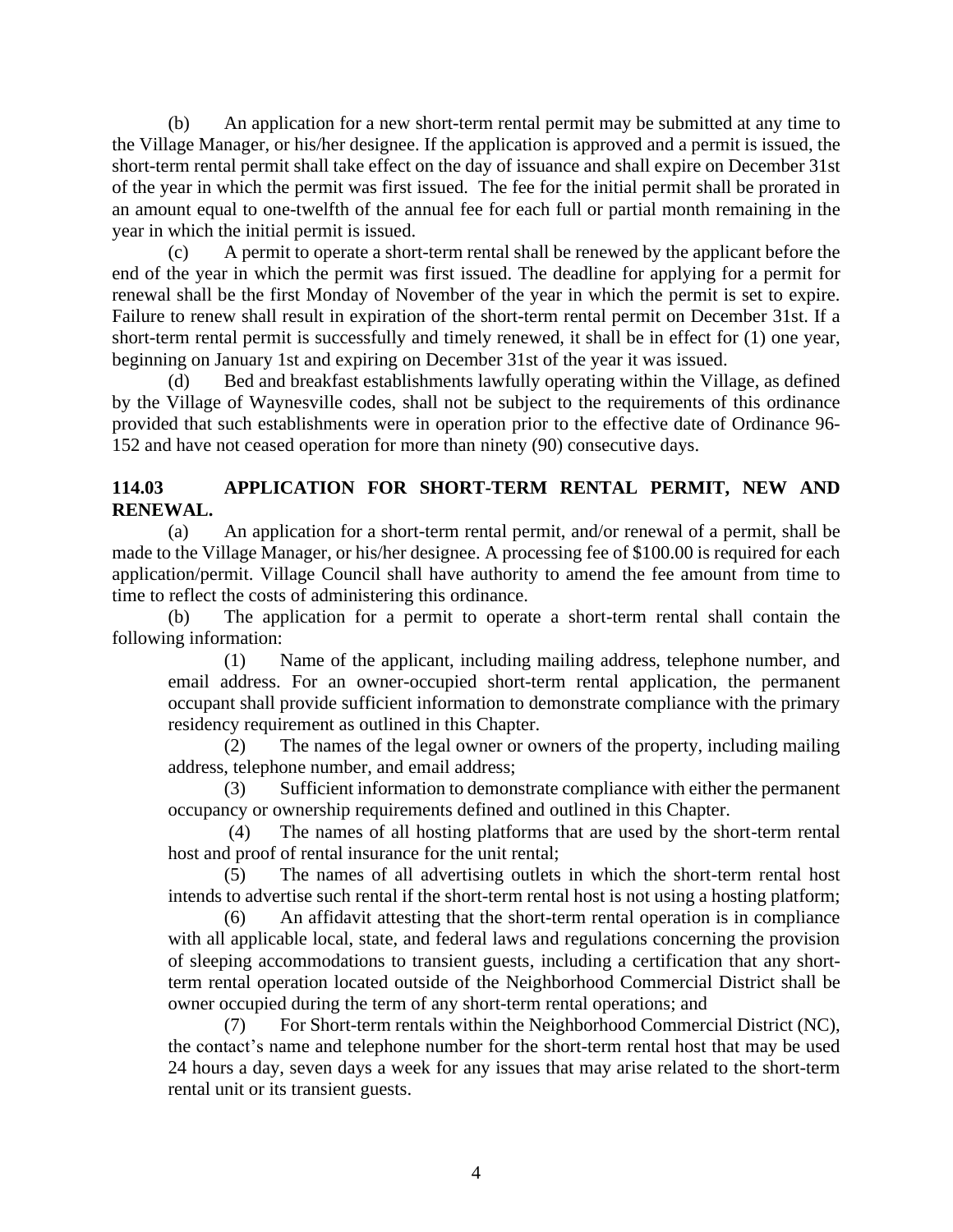(b) An application for a new short-term rental permit may be submitted at any time to the Village Manager, or his/her designee. If the application is approved and a permit is issued, the short-term rental permit shall take effect on the day of issuance and shall expire on December 31st of the year in which the permit was first issued. The fee for the initial permit shall be prorated in an amount equal to one-twelfth of the annual fee for each full or partial month remaining in the year in which the initial permit is issued.

(c) A permit to operate a short-term rental shall be renewed by the applicant before the end of the year in which the permit was first issued. The deadline for applying for a permit for renewal shall be the first Monday of November of the year in which the permit is set to expire. Failure to renew shall result in expiration of the short-term rental permit on December 31st. If a short-term rental permit is successfully and timely renewed, it shall be in effect for (1) one year, beginning on January 1st and expiring on December 31st of the year it was issued.

(d) Bed and breakfast establishments lawfully operating within the Village, as defined by the Village of Waynesville codes, shall not be subject to the requirements of this ordinance provided that such establishments were in operation prior to the effective date of Ordinance 96- 152 and have not ceased operation for more than ninety (90) consecutive days.

# **114.03 APPLICATION FOR SHORT-TERM RENTAL PERMIT, NEW AND RENEWAL.**

(a) An application for a short-term rental permit, and/or renewal of a permit, shall be made to the Village Manager, or his/her designee. A processing fee of \$100.00 is required for each application/permit. Village Council shall have authority to amend the fee amount from time to time to reflect the costs of administering this ordinance.

(b) The application for a permit to operate a short-term rental shall contain the following information:

(1) Name of the applicant, including mailing address, telephone number, and email address. For an owner-occupied short-term rental application, the permanent occupant shall provide sufficient information to demonstrate compliance with the primary residency requirement as outlined in this Chapter.

(2) The names of the legal owner or owners of the property, including mailing address, telephone number, and email address;

(3) Sufficient information to demonstrate compliance with either the permanent occupancy or ownership requirements defined and outlined in this Chapter.

(4) The names of all hosting platforms that are used by the short-term rental host and proof of rental insurance for the unit rental;

(5) The names of all advertising outlets in which the short-term rental host intends to advertise such rental if the short-term rental host is not using a hosting platform;

(6) An affidavit attesting that the short-term rental operation is in compliance with all applicable local, state, and federal laws and regulations concerning the provision of sleeping accommodations to transient guests, including a certification that any shortterm rental operation located outside of the Neighborhood Commercial District shall be owner occupied during the term of any short-term rental operations; and

(7) For Short-term rentals within the Neighborhood Commercial District (NC), the contact's name and telephone number for the short-term rental host that may be used 24 hours a day, seven days a week for any issues that may arise related to the short-term rental unit or its transient guests.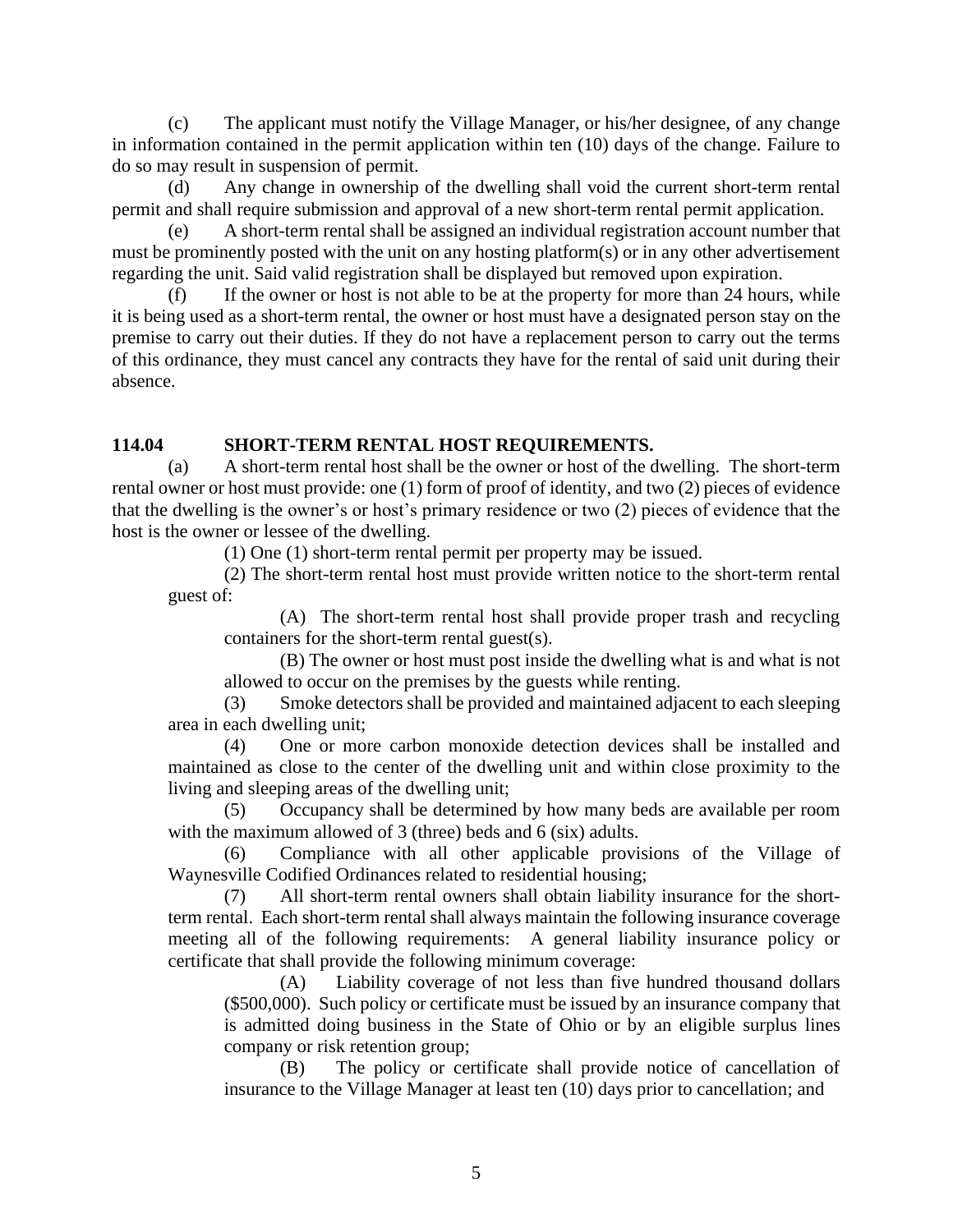(c) The applicant must notify the Village Manager, or his/her designee, of any change in information contained in the permit application within ten (10) days of the change. Failure to do so may result in suspension of permit.

(d) Any change in ownership of the dwelling shall void the current short-term rental permit and shall require submission and approval of a new short-term rental permit application.

(e) A short-term rental shall be assigned an individual registration account number that must be prominently posted with the unit on any hosting platform(s) or in any other advertisement regarding the unit. Said valid registration shall be displayed but removed upon expiration.

(f) If the owner or host is not able to be at the property for more than 24 hours, while it is being used as a short-term rental, the owner or host must have a designated person stay on the premise to carry out their duties. If they do not have a replacement person to carry out the terms of this ordinance, they must cancel any contracts they have for the rental of said unit during their absence.

# **114.04 SHORT-TERM RENTAL HOST REQUIREMENTS.**

(a) A short-term rental host shall be the owner or host of the dwelling. The short-term rental owner or host must provide: one (1) form of proof of identity, and two (2) pieces of evidence that the dwelling is the owner's or host's primary residence or two (2) pieces of evidence that the host is the owner or lessee of the dwelling.

(1) One (1) short-term rental permit per property may be issued.

(2) The short-term rental host must provide written notice to the short-term rental guest of:

(A) The short-term rental host shall provide proper trash and recycling containers for the short-term rental guest(s).

(B) The owner or host must post inside the dwelling what is and what is not allowed to occur on the premises by the guests while renting.

(3) Smoke detectors shall be provided and maintained adjacent to each sleeping area in each dwelling unit;

(4) One or more carbon monoxide detection devices shall be installed and maintained as close to the center of the dwelling unit and within close proximity to the living and sleeping areas of the dwelling unit;

(5) Occupancy shall be determined by how many beds are available per room with the maximum allowed of 3 (three) beds and 6 (six) adults.

(6) Compliance with all other applicable provisions of the Village of Waynesville Codified Ordinances related to residential housing;

(7) All short-term rental owners shall obtain liability insurance for the shortterm rental. Each short-term rental shall always maintain the following insurance coverage meeting all of the following requirements: A general liability insurance policy or certificate that shall provide the following minimum coverage:

(A) Liability coverage of not less than five hundred thousand dollars (\$500,000). Such policy or certificate must be issued by an insurance company that is admitted doing business in the State of Ohio or by an eligible surplus lines company or risk retention group;

(B) The policy or certificate shall provide notice of cancellation of insurance to the Village Manager at least ten (10) days prior to cancellation; and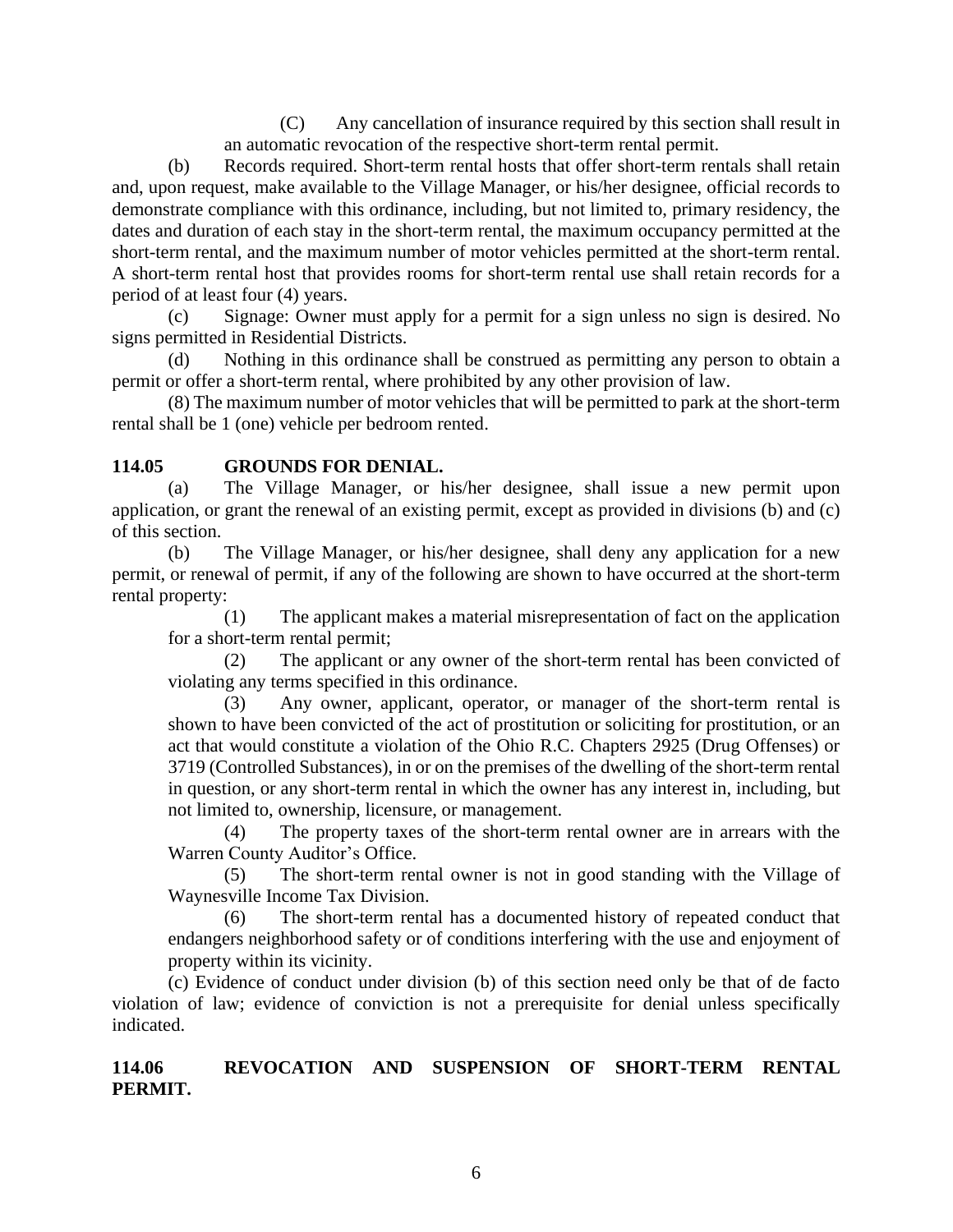(C) Any cancellation of insurance required by this section shall result in an automatic revocation of the respective short-term rental permit.

(b) Records required. Short-term rental hosts that offer short-term rentals shall retain and, upon request, make available to the Village Manager, or his/her designee, official records to demonstrate compliance with this ordinance, including, but not limited to, primary residency, the dates and duration of each stay in the short-term rental, the maximum occupancy permitted at the short-term rental, and the maximum number of motor vehicles permitted at the short-term rental. A short-term rental host that provides rooms for short-term rental use shall retain records for a period of at least four (4) years.

(c) Signage: Owner must apply for a permit for a sign unless no sign is desired. No signs permitted in Residential Districts.

(d) Nothing in this ordinance shall be construed as permitting any person to obtain a permit or offer a short-term rental, where prohibited by any other provision of law.

(8) The maximum number of motor vehicles that will be permitted to park at the short-term rental shall be 1 (one) vehicle per bedroom rented.

# **114.05 GROUNDS FOR DENIAL.**

(a) The Village Manager, or his/her designee, shall issue a new permit upon application, or grant the renewal of an existing permit, except as provided in divisions (b) and (c) of this section.

(b) The Village Manager, or his/her designee, shall deny any application for a new permit, or renewal of permit, if any of the following are shown to have occurred at the short-term rental property:

(1) The applicant makes a material misrepresentation of fact on the application for a short-term rental permit;

(2) The applicant or any owner of the short-term rental has been convicted of violating any terms specified in this ordinance.

(3) Any owner, applicant, operator, or manager of the short-term rental is shown to have been convicted of the act of prostitution or soliciting for prostitution, or an act that would constitute a violation of the Ohio R.C. Chapters 2925 (Drug Offenses) or 3719 (Controlled Substances), in or on the premises of the dwelling of the short-term rental in question, or any short-term rental in which the owner has any interest in, including, but not limited to, ownership, licensure, or management.

(4) The property taxes of the short-term rental owner are in arrears with the Warren County Auditor's Office.

(5) The short-term rental owner is not in good standing with the Village of Waynesville Income Tax Division.

(6) The short-term rental has a documented history of repeated conduct that endangers neighborhood safety or of conditions interfering with the use and enjoyment of property within its vicinity.

(c) Evidence of conduct under division (b) of this section need only be that of de facto violation of law; evidence of conviction is not a prerequisite for denial unless specifically indicated.

**114.06 REVOCATION AND SUSPENSION OF SHORT-TERM RENTAL PERMIT.**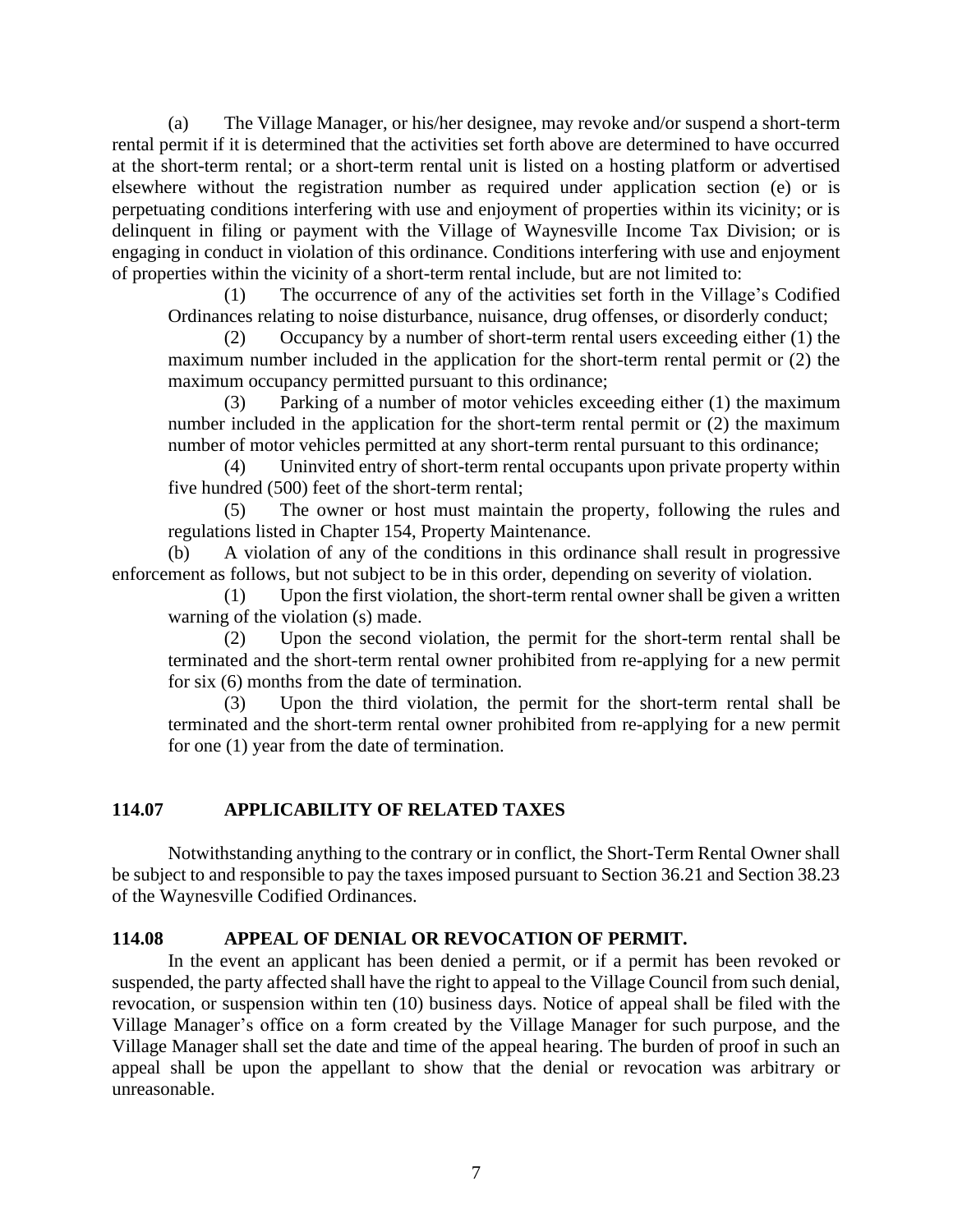(a) The Village Manager, or his/her designee, may revoke and/or suspend a short-term rental permit if it is determined that the activities set forth above are determined to have occurred at the short-term rental; or a short-term rental unit is listed on a hosting platform or advertised elsewhere without the registration number as required under application section (e) or is perpetuating conditions interfering with use and enjoyment of properties within its vicinity; or is delinquent in filing or payment with the Village of Waynesville Income Tax Division; or is engaging in conduct in violation of this ordinance. Conditions interfering with use and enjoyment of properties within the vicinity of a short-term rental include, but are not limited to:

(1) The occurrence of any of the activities set forth in the Village's Codified Ordinances relating to noise disturbance, nuisance, drug offenses, or disorderly conduct;

(2) Occupancy by a number of short-term rental users exceeding either (1) the maximum number included in the application for the short-term rental permit or (2) the maximum occupancy permitted pursuant to this ordinance;

(3) Parking of a number of motor vehicles exceeding either (1) the maximum number included in the application for the short-term rental permit or (2) the maximum number of motor vehicles permitted at any short-term rental pursuant to this ordinance;

(4) Uninvited entry of short-term rental occupants upon private property within five hundred (500) feet of the short-term rental;

(5) The owner or host must maintain the property, following the rules and regulations listed in Chapter 154, Property Maintenance.

(b) A violation of any of the conditions in this ordinance shall result in progressive enforcement as follows, but not subject to be in this order, depending on severity of violation.

(1) Upon the first violation, the short-term rental owner shall be given a written warning of the violation (s) made.

(2) Upon the second violation, the permit for the short-term rental shall be terminated and the short-term rental owner prohibited from re-applying for a new permit for six (6) months from the date of termination.

(3) Upon the third violation, the permit for the short-term rental shall be terminated and the short-term rental owner prohibited from re-applying for a new permit for one (1) year from the date of termination.

# **114.07 APPLICABILITY OF RELATED TAXES**

Notwithstanding anything to the contrary or in conflict, the Short-Term Rental Owner shall be subject to and responsible to pay the taxes imposed pursuant to Section 36.21 and Section 38.23 of the Waynesville Codified Ordinances.

# **114.08 APPEAL OF DENIAL OR REVOCATION OF PERMIT.**

In the event an applicant has been denied a permit, or if a permit has been revoked or suspended, the party affected shall have the right to appeal to the Village Council from such denial, revocation, or suspension within ten (10) business days. Notice of appeal shall be filed with the Village Manager's office on a form created by the Village Manager for such purpose, and the Village Manager shall set the date and time of the appeal hearing. The burden of proof in such an appeal shall be upon the appellant to show that the denial or revocation was arbitrary or unreasonable.